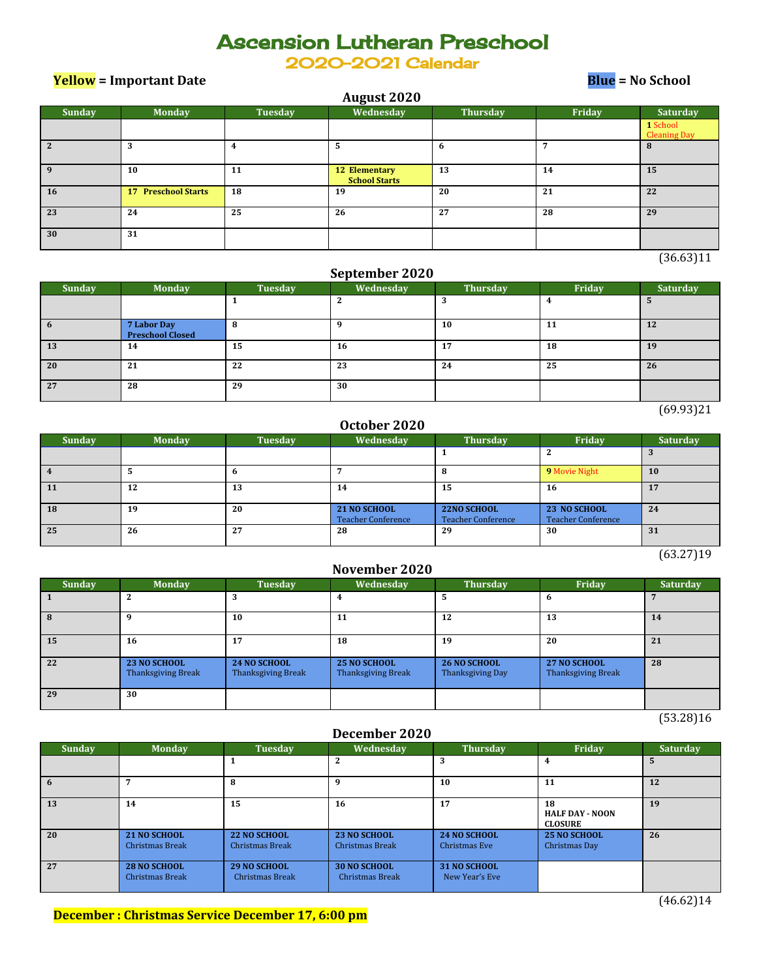# Ascension Lutheran Preschool

2020-2021 Calendar

**Yellow = Important Date Blue = No School**

| <b>August 2020</b>            |                            |         |                                       |          |        |                                 |  |  |  |
|-------------------------------|----------------------------|---------|---------------------------------------|----------|--------|---------------------------------|--|--|--|
| Sunday                        | <b>Monday</b>              | Tuesday | Wednesday                             | Thursday | Friday | Saturday                        |  |  |  |
|                               |                            |         |                                       |          |        | 1 School<br><b>Cleaning Day</b> |  |  |  |
| $\overline{2}$                | 3                          | 4       | 5                                     | 6        | n      | 8                               |  |  |  |
| 9                             | 10                         | 11      | 12 Elementary<br><b>School Starts</b> | 13       | 14     | 15                              |  |  |  |
| 16                            | <b>17 Preschool Starts</b> | 18      | 19                                    | 20       | 21     | 22                              |  |  |  |
| 23                            | 24                         | 25      | 26                                    | 27       | 28     | 29                              |  |  |  |
| 30                            | 31                         |         |                                       |          |        |                                 |  |  |  |
| C <sub>0</sub> C <sub>0</sub> |                            |         |                                       |          |        |                                 |  |  |  |

(36.63)11

### **September 2020**

| <b>Sunday</b> | <b>Monday</b>                          | Tuesday | Wednesday | <b>Thursday</b> | Friday | Saturday |
|---------------|----------------------------------------|---------|-----------|-----------------|--------|----------|
|               |                                        |         | ◠<br>▵    |                 |        | э        |
| $\mathbf o$   | 7 Labor Day<br><b>Preschool Closed</b> | 8       | q         | 10              | 11     | 12       |
| 13            | 14                                     | 15      | 16        | 17              | 18     | 19       |
| 20            | 21                                     | 22      | 23        | 24              | 25     | 26       |
| 27            | 28                                     | 29      | 30        |                 |        |          |

 $(69.93)21$ 

### **October 2020**

| <b>Sunday</b> | <b>Monday</b> | Tuesday | Wednesday                                 | <b>Thursday</b>                          | Friday                                    | Saturday  |
|---------------|---------------|---------|-------------------------------------------|------------------------------------------|-------------------------------------------|-----------|
|               |               |         |                                           |                                          |                                           |           |
|               |               | o       |                                           | 8                                        | 9 Movie Night                             | <b>10</b> |
| <b>11</b>     | 12            | 13      | 14                                        | 15                                       | 16                                        | 17        |
| <b>18</b>     | 19            | 20      | 21 NO SCHOOL<br><b>Teacher Conference</b> | 22NO SCHOOL<br><b>Teacher Conference</b> | 23 NO SCHOOL<br><b>Teacher Conference</b> | 24        |
| 25            | 26            | 27      | 28                                        | 29                                       | 30                                        | 31        |

 $(63.27)19$ 

#### **November 2020**

| Sunday | <b>Monday</b>                                    | Tuesday                                   | Wednesday                                 | <b>Thursday</b>                         | Friday                                           | <b>Saturday</b> |
|--------|--------------------------------------------------|-------------------------------------------|-------------------------------------------|-----------------------------------------|--------------------------------------------------|-----------------|
|        | 2                                                |                                           |                                           | 5                                       | 6                                                |                 |
| x      | q                                                | 10                                        | 11                                        | 12                                      | 13                                               | 14              |
| 15     | 16                                               | 17                                        | 18                                        | 19                                      | 20                                               | 21              |
| 22     | <b>23 NO SCHOOL</b><br><b>Thanksgiving Break</b> | 24 NO SCHOOL<br><b>Thanksgiving Break</b> | 25 NO SCHOOL<br><b>Thanksgiving Break</b> | <b>26 NO SCHOOL</b><br>Thanksgiving Day | <b>27 NO SCHOOL</b><br><b>Thanksgiving Break</b> | 28              |
| 29     | 30                                               |                                           |                                           |                                         |                                                  |                 |

(53.28)16

### **December 2020**

| <b>Sunday</b> | <b>Monday</b>                                 | <b>Tuesday</b>                                | Wednesday                                     | <b>Thursday</b>                | Friday                                         | <b>Saturday</b> |
|---------------|-----------------------------------------------|-----------------------------------------------|-----------------------------------------------|--------------------------------|------------------------------------------------|-----------------|
|               |                                               |                                               | 2                                             | 3                              | 4                                              | $\mathbf{h}$    |
|               |                                               | 8                                             | q                                             | 10                             | 11                                             | 12              |
| 13            | 14                                            | 15                                            | 16                                            | 17                             | 18<br><b>HALF DAY - NOON</b><br><b>CLOSURE</b> | 19              |
| 20            | <b>21 NO SCHOOL</b><br><b>Christmas Break</b> | 22 NO SCHOOL<br><b>Christmas Break</b>        | 23 NO SCHOOL<br>Christmas Break               | 24 NO SCHOOL<br>Christmas Eve  | <b>25 NO SCHOOL</b><br>Christmas Day           | 26              |
| 27            | 28 NO SCHOOL<br><b>Christmas Break</b>        | <b>29 NO SCHOOL</b><br><b>Christmas Break</b> | <b>30 NO SCHOOL</b><br><b>Christmas Break</b> | 31 NO SCHOOL<br>New Year's Eve |                                                |                 |